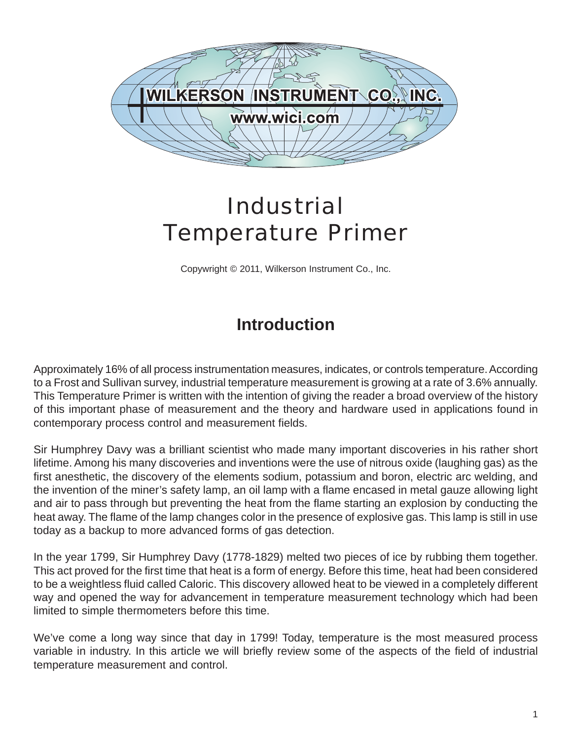

## *Industrial Temperature Primer*

Copywright © 2011, Wilkerson Instrument Co., Inc.

## **Introduction**

Approximately 16% of all process instrumentation measures, indicates, or controls temperature. According to a Frost and Sullivan survey, industrial temperature measurement is growing at a rate of 3.6% annually. This Temperature Primer is written with the intention of giving the reader a broad overview of the history of this important phase of measurement and the theory and hardware used in applications found in contemporary process control and measurement fields.

Sir Humphrey Davy was a brilliant scientist who made many important discoveries in his rather short lifetime. Among his many discoveries and inventions were the use of nitrous oxide (laughing gas) as the first anesthetic, the discovery of the elements sodium, potassium and boron, electric arc welding, and the invention of the miner's safety lamp, an oil lamp with a flame encased in metal gauze allowing light and air to pass through but preventing the heat from the flame starting an explosion by conducting the heat away. The flame of the lamp changes color in the presence of explosive gas. This lamp is still in use today as a backup to more advanced forms of gas detection.

In the year 1799, Sir Humphrey Davy (1778-1829) melted two pieces of ice by rubbing them together. This act proved for the first time that heat is a form of energy. Before this time, heat had been considered to be a weightless fluid called Caloric. This discovery allowed heat to be viewed in a completely different way and opened the way for advancement in temperature measurement technology which had been limited to simple thermometers before this time.

We've come a long way since that day in 1799! Today, temperature is the most measured process variable in industry. In this article we will briefly review some of the aspects of the field of industrial temperature measurement and control.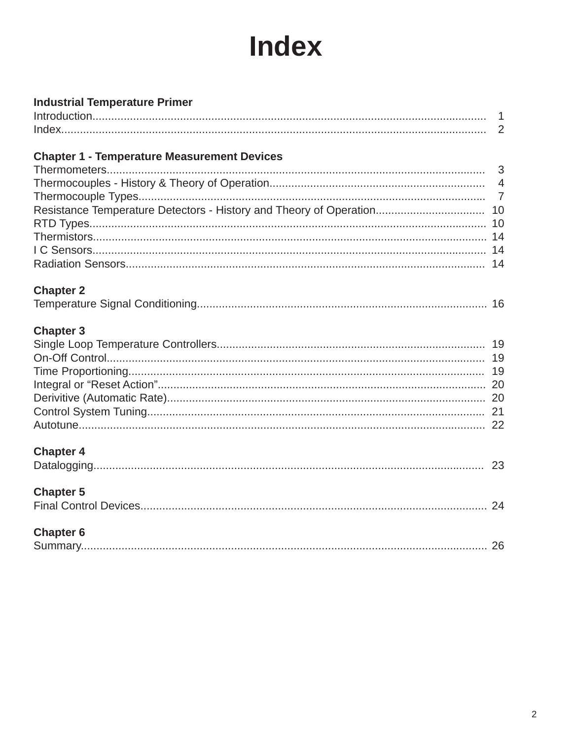# **Index**

| <b>Industrial Temperature Primer</b>               |  |
|----------------------------------------------------|--|
|                                                    |  |
|                                                    |  |
| <b>Chapter 1 - Temperature Measurement Devices</b> |  |
|                                                    |  |
|                                                    |  |
|                                                    |  |
|                                                    |  |
|                                                    |  |
|                                                    |  |
|                                                    |  |
|                                                    |  |
| <b>Chapter 2</b>                                   |  |
|                                                    |  |
| <b>Chapter 3</b>                                   |  |
|                                                    |  |
|                                                    |  |
|                                                    |  |
|                                                    |  |
|                                                    |  |
|                                                    |  |
|                                                    |  |
| <b>Chapter 4</b>                                   |  |
|                                                    |  |
| <b>Chapter 5</b>                                   |  |
|                                                    |  |
| <b>Chapter 6</b>                                   |  |
|                                                    |  |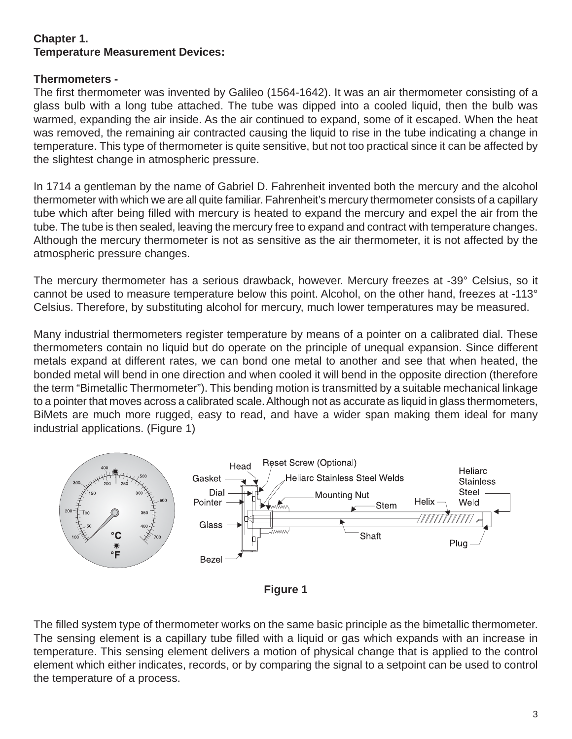#### **Chapter 1. Temperature Measurement Devices:**

#### **Thermometers -**

The first thermometer was invented by Galileo (1564-1642). It was an air thermometer consisting of a glass bulb with a long tube attached. The tube was dipped into a cooled liquid, then the bulb was warmed, expanding the air inside. As the air continued to expand, some of it escaped. When the heat was removed, the remaining air contracted causing the liquid to rise in the tube indicating a change in temperature. This type of thermometer is quite sensitive, but not too practical since it can be affected by the slightest change in atmospheric pressure.

In 1714 a gentleman by the name of Gabriel D. Fahrenheit invented both the mercury and the alcohol thermometer with which we are all quite familiar. Fahrenheit's mercury thermometer consists of a capillary tube which after being filled with mercury is heated to expand the mercury and expel the air from the tube. The tube is then sealed, leaving the mercury free to expand and contract with temperature changes. Although the mercury thermometer is not as sensitive as the air thermometer, it is not affected by the atmospheric pressure changes.

The mercury thermometer has a serious drawback, however. Mercury freezes at -39° Celsius, so it cannot be used to measure temperature below this point. Alcohol, on the other hand, freezes at -113° Celsius. Therefore, by substituting alcohol for mercury, much lower temperatures may be measured.

Many industrial thermometers register temperature by means of a pointer on a calibrated dial. These thermometers contain no liquid but do operate on the principle of unequal expansion. Since different metals expand at different rates, we can bond one metal to another and see that when heated, the bonded metal will bend in one direction and when cooled it will bend in the opposite direction (therefore the term "Bimetallic Thermometer"). This bending motion is transmitted by a suitable mechanical linkage to a pointer that moves across a calibrated scale. Although not as accurate as liquid in glass thermometers, BiMets are much more rugged, easy to read, and have a wider span making them ideal for many industrial applications. (Figure 1)



**Figure 1**

The filled system type of thermometer works on the same basic principle as the bimetallic thermometer. The sensing element is a capillary tube filled with a liquid or gas which expands with an increase in temperature. This sensing element delivers a motion of physical change that is applied to the control element which either indicates, records, or by comparing the signal to a setpoint can be used to control the temperature of a process.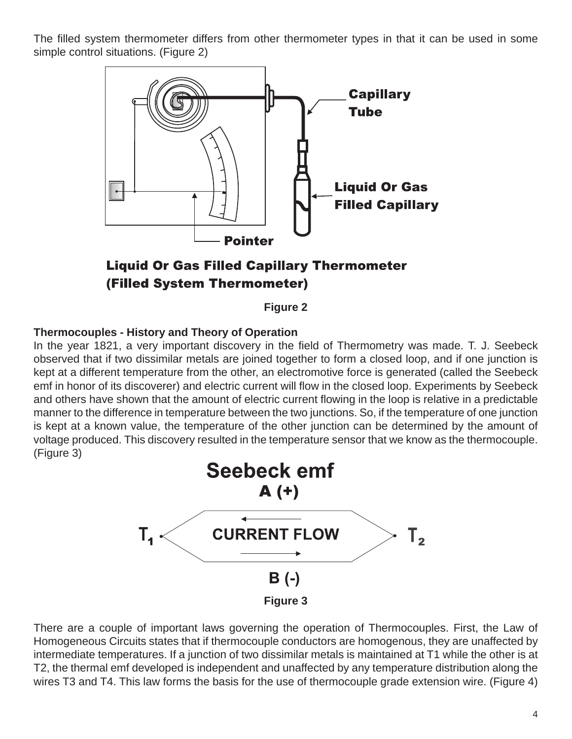The filled system thermometer differs from other thermometer types in that it can be used in some simple control situations. (Figure 2)



### **Liquid Or Gas Filled Capillary Thermometer** (Filled System Thermometer)

**Figure 2**

#### **Thermocouples - History and Theory of Operation**

In the year 1821, a very important discovery in the field of Thermometry was made. T. J. Seebeck observed that if two dissimilar metals are joined together to form a closed loop, and if one junction is kept at a different temperature from the other, an electromotive force is generated (called the Seebeck emf in honor of its discoverer) and electric current will flow in the closed loop. Experiments by Seebeck and others have shown that the amount of electric current flowing in the loop is relative in a predictable manner to the difference in temperature between the two junctions. So, if the temperature of one junction is kept at a known value, the temperature of the other junction can be determined by the amount of voltage produced. This discovery resulted in the temperature sensor that we know as the thermocouple. (Figure 3)



There are a couple of important laws governing the operation of Thermocouples. First, the Law of Homogeneous Circuits states that if thermocouple conductors are homogenous, they are unaffected by intermediate temperatures. If a junction of two dissimilar metals is maintained at T1 while the other is at T2, the thermal emf developed is independent and unaffected by any temperature distribution along the wires T3 and T4. This law forms the basis for the use of thermocouple grade extension wire. (Figure 4)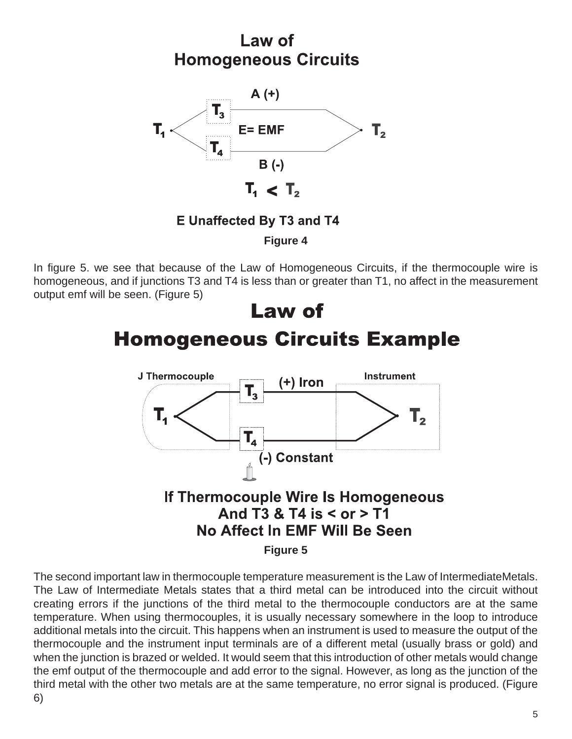## Law of **Homogeneous Circuits**



**E Unaffected By T3 and T4** 

**Figure 4**

In figure 5. we see that because of the Law of Homogeneous Circuits, if the thermocouple wire is homogeneous, and if junctions T3 and T4 is less than or greater than T1, no affect in the measurement output emf will be seen. (Figure 5)

### Law of **Homogeneous Circuits Example** J Thermocouple **Instrument** +) Iron  $\mathbf{T}_3$  $\mathbf{T}_4$  $\textbf{T}_{\mathbf{2}}$  $\mathbf{T}_\mathbf{A}$ (-) Constant If Thermocouple Wire Is Homogeneous And T3 & T4 is < or > T1

### No Affect In EMF Will Be Seen

**Figure 5**

The second important law in thermocouple temperature measurement is the Law of IntermediateMetals. The Law of Intermediate Metals states that a third metal can be introduced into the circuit without creating errors if the junctions of the third metal to the thermocouple conductors are at the same temperature. When using thermocouples, it is usually necessary somewhere in the loop to introduce additional metals into the circuit. This happens when an instrument is used to measure the output of the thermocouple and the instrument input terminals are of a different metal (usually brass or gold) and when the junction is brazed or welded. It would seem that this introduction of other metals would change the emf output of the thermocouple and add error to the signal. However, as long as the junction of the third metal with the other two metals are at the same temperature, no error signal is produced. (Figure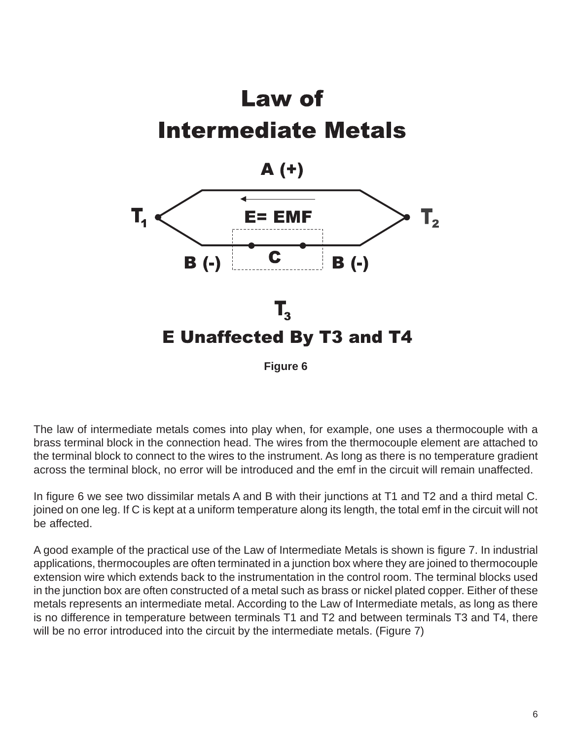

**Figure 6**

The law of intermediate metals comes into play when, for example, one uses a thermocouple with a brass terminal block in the connection head. The wires from the thermocouple element are attached to the terminal block to connect to the wires to the instrument. As long as there is no temperature gradient across the terminal block, no error will be introduced and the emf in the circuit will remain unaffected.

In figure 6 we see two dissimilar metals A and B with their junctions at T1 and T2 and a third metal C. joined on one leg. If C is kept at a uniform temperature along its length, the total emf in the circuit will not be affected.

A good example of the practical use of the Law of Intermediate Metals is shown is figure 7. In industrial applications, thermocouples are often terminated in a junction box where they are joined to thermocouple extension wire which extends back to the instrumentation in the control room. The terminal blocks used in the junction box are often constructed of a metal such as brass or nickel plated copper. Either of these metals represents an intermediate metal. According to the Law of Intermediate metals, as long as there is no difference in temperature between terminals T1 and T2 and between terminals T3 and T4, there will be no error introduced into the circuit by the intermediate metals. (Figure 7)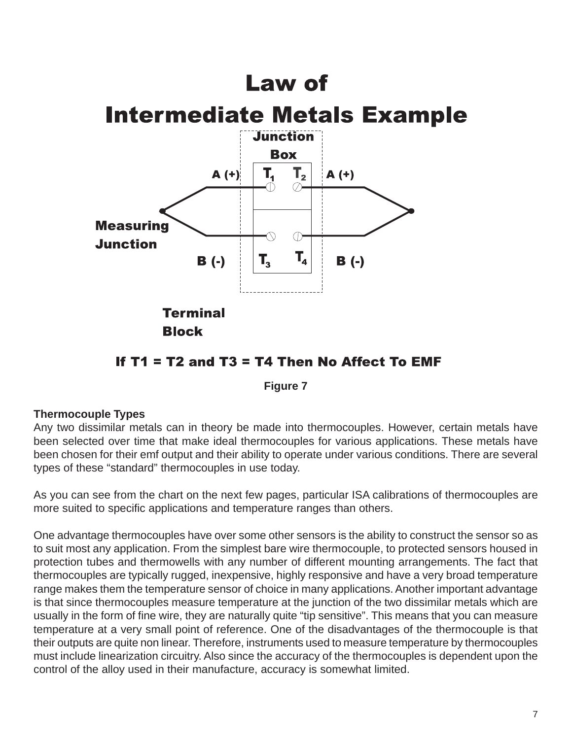## Law of



#### If  $T1 = T2$  and  $T3 = T4$  Then No Affect To EMF

**Figure 7**

#### **Thermocouple Types**

Any two dissimilar metals can in theory be made into thermocouples. However, certain metals have been selected over time that make ideal thermocouples for various applications. These metals have been chosen for their emf output and their ability to operate under various conditions. There are several types of these "standard" thermocouples in use today.

As you can see from the chart on the next few pages, particular ISA calibrations of thermocouples are more suited to specific applications and temperature ranges than others.

One advantage thermocouples have over some other sensors is the ability to construct the sensor so as to suit most any application. From the simplest bare wire thermocouple, to protected sensors housed in protection tubes and thermowells with any number of different mounting arrangements. The fact that thermocouples are typically rugged, inexpensive, highly responsive and have a very broad temperature range makes them the temperature sensor of choice in many applications. Another important advantage is that since thermocouples measure temperature at the junction of the two dissimilar metals which are usually in the form of fine wire, they are naturally quite "tip sensitive". This means that you can measure temperature at a very small point of reference. One of the disadvantages of the thermocouple is that their outputs are quite non linear. Therefore, instruments used to measure temperature by thermocouples must include linearization circuitry. Also since the accuracy of the thermocouples is dependent upon the control of the alloy used in their manufacture, accuracy is somewhat limited.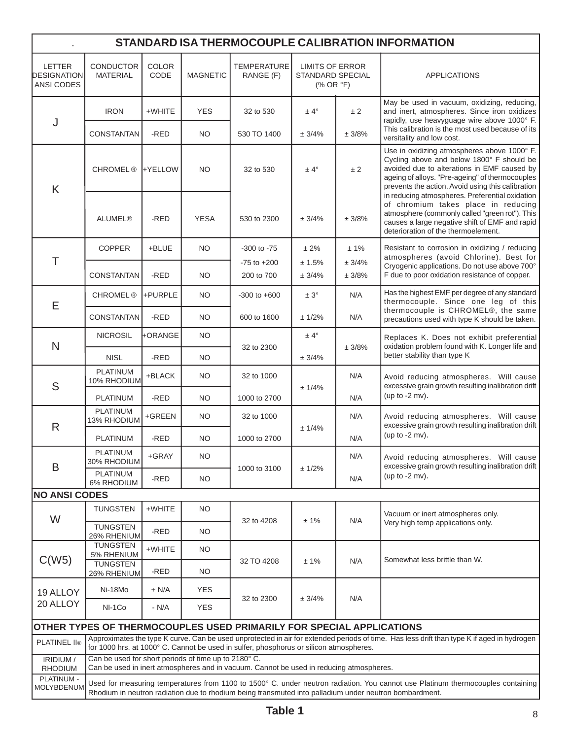| STANDARD ISA THERMOCOUPLE CALIBRATION INFORMATION |                                                                                                                                                                                                                                      |                      |                 |                                                                                         |                                                                                     |                  |                                                                                                                                                                                                                                                 |  |
|---------------------------------------------------|--------------------------------------------------------------------------------------------------------------------------------------------------------------------------------------------------------------------------------------|----------------------|-----------------|-----------------------------------------------------------------------------------------|-------------------------------------------------------------------------------------|------------------|-------------------------------------------------------------------------------------------------------------------------------------------------------------------------------------------------------------------------------------------------|--|
| <b>LETTER</b><br>DESIGNATION<br>ANSI CODES        | <b>CONDUCTOR</b><br><b>MATERIAL</b>                                                                                                                                                                                                  | <b>COLOR</b><br>CODE | <b>MAGNETIC</b> | <b>TEMPERATURE</b><br>RANGE (F)                                                         | <b>LIMITS OF ERROR</b><br><b>STANDARD SPECIAL</b><br>$(% ^{p})$ (% OR $^{\circ}$ F) |                  | <b>APPLICATIONS</b>                                                                                                                                                                                                                             |  |
| J                                                 | <b>IRON</b>                                                                                                                                                                                                                          | +WHITE               | <b>YES</b>      | 32 to 530                                                                               | $± 4^\circ$                                                                         | ± 2              | May be used in vacuum, oxidizing, reducing,<br>and inert, atmospheres. Since iron oxidizes<br>rapidly, use heavyguage wire above 1000° F.                                                                                                       |  |
|                                                   | <b>CONSTANTAN</b>                                                                                                                                                                                                                    | -RED                 | NO.             | 530 TO 1400                                                                             | ± 3/4%                                                                              | ± 3/8%           | This calibration is the most used because of its<br>versitality and low cost.                                                                                                                                                                   |  |
| K                                                 | <b>CHROMEL®</b>                                                                                                                                                                                                                      | <b>HYELLOW</b>       | <b>NO</b>       | 32 to 530                                                                               | $± 4^\circ$                                                                         | ±2               | Use in oxidizing atmospheres above 1000° F.<br>Cycling above and below 1800° F should be<br>avoided due to alterations in EMF caused by<br>ageing of alloys. "Pre-ageing" of thermocouples<br>prevents the action. Avoid using this calibration |  |
|                                                   | <b>ALUMEL®</b>                                                                                                                                                                                                                       | -RED                 | <b>YESA</b>     | 530 to 2300                                                                             | ± 3/4%                                                                              | ± 3/8%           | in reducing atmospheres. Preferential oxidation<br>of chromium takes place in reducing<br>atmosphere (commonly called "green rot"). This<br>causes a large negative shift of EMF and rapid<br>deterioration of the thermoelement.               |  |
|                                                   | <b>COPPER</b>                                                                                                                                                                                                                        | +BLUE                | <b>NO</b>       | $-300$ to $-75$                                                                         | ± 2%                                                                                | $± 1\%$          | Resistant to corrosion in oxidizing / reducing<br>atmospheres (avoid Chlorine). Best for                                                                                                                                                        |  |
| Τ                                                 | <b>CONSTANTAN</b>                                                                                                                                                                                                                    | -RED                 | <b>NO</b>       | $-75$ to $+200$<br>200 to 700                                                           | ± 1.5%<br>± 3/4%                                                                    | ± 3/4%<br>± 3/8% | Cryogenic applications. Do not use above 700°<br>F due to poor oxidation resistance of copper.                                                                                                                                                  |  |
|                                                   | <b>CHROMEL®</b>                                                                                                                                                                                                                      | +PURPLE              | <b>NO</b>       | $-300$ to $+600$                                                                        | $\pm 3^{\circ}$                                                                     | N/A              | Has the highest EMF per degree of any standard<br>thermocouple. Since one leg of this                                                                                                                                                           |  |
| E                                                 | CONSTANTAN                                                                                                                                                                                                                           | -RED                 | NO              | 600 to 1600                                                                             | ± 1/2%                                                                              | N/A              | thermocouple is CHROMEL®, the same<br>precautions used with type K should be taken.                                                                                                                                                             |  |
| N                                                 | <b>NICROSIL</b>                                                                                                                                                                                                                      | +ORANGE              | <b>NO</b>       |                                                                                         | $± 4^{\circ}$                                                                       |                  | Replaces K. Does not exhibit preferential<br>oxidation problem found with K. Longer life and                                                                                                                                                    |  |
|                                                   | <b>NISL</b>                                                                                                                                                                                                                          | -RED                 | <b>NO</b>       | 32 to 2300                                                                              | ± 3/4%                                                                              | ± 3/8%           | better stability than type K                                                                                                                                                                                                                    |  |
| S                                                 | <b>PLATINUM</b><br>10% RHODIUM                                                                                                                                                                                                       | +BLACK               | <b>NO</b>       | 32 to 1000                                                                              | ± 1/4%                                                                              | N/A              | Avoid reducing atmospheres. Will cause<br>excessive grain growth resulting inalibration drift                                                                                                                                                   |  |
|                                                   | <b>PLATINUM</b>                                                                                                                                                                                                                      | -RED                 | <b>NO</b>       | 1000 to 2700                                                                            |                                                                                     | N/A              | (up to $-2$ mv).                                                                                                                                                                                                                                |  |
| R                                                 | <b>PLATINUM</b><br>13% RHODIUM                                                                                                                                                                                                       | +GREEN               | <b>NO</b>       | 32 to 1000                                                                              | ± 1/4%                                                                              | N/A              | Avoid reducing atmospheres. Will cause<br>excessive grain growth resulting inalibration drift                                                                                                                                                   |  |
|                                                   | <b>PLATINUM</b>                                                                                                                                                                                                                      | -RED                 | <b>NO</b>       | 1000 to 2700                                                                            |                                                                                     | N/A              | (up to $-2$ mv).                                                                                                                                                                                                                                |  |
| B                                                 | PLATINUM<br>30% RHODIUM<br>PLATINUM                                                                                                                                                                                                  | +GRAY                | <b>NO</b>       | 1000 to 3100                                                                            | ± 1/2%                                                                              | N/A              | Avoid reducing atmospheres. Will cause<br>excessive grain growth resulting inalibration drift                                                                                                                                                   |  |
|                                                   | 6% RHODIUM                                                                                                                                                                                                                           | -RED                 | NO.             |                                                                                         |                                                                                     | N/A              | (up to $-2$ mv).                                                                                                                                                                                                                                |  |
| <b>NO ANSI CODES</b>                              |                                                                                                                                                                                                                                      |                      |                 |                                                                                         |                                                                                     |                  |                                                                                                                                                                                                                                                 |  |
| W                                                 | <b>TUNGSTEN</b><br><b>TUNGSTEN</b>                                                                                                                                                                                                   | +WHITE<br>-RED       | NO.<br>NO.      | 32 to 4208                                                                              | ±1%                                                                                 | N/A              | Vacuum or inert atmospheres only.<br>Very high temp applications only.                                                                                                                                                                          |  |
|                                                   | 26% RHENIUM<br><b>TUNGSTEN</b>                                                                                                                                                                                                       | +WHITE               | NO.             |                                                                                         |                                                                                     |                  |                                                                                                                                                                                                                                                 |  |
| C(W5)                                             | 5% RHENIUM<br><b>TUNGSTEN</b><br>26% RHENIUM                                                                                                                                                                                         | -RED                 | NO.             | 32 TO 4208                                                                              | ± 1%                                                                                | N/A              | Somewhat less brittle than W.                                                                                                                                                                                                                   |  |
| 19 ALLOY<br>20 ALLOY                              | Ni-18Mo                                                                                                                                                                                                                              | $+ N/A$              | <b>YES</b>      |                                                                                         | ± 3/4%                                                                              | N/A              |                                                                                                                                                                                                                                                 |  |
|                                                   | NI-1Co                                                                                                                                                                                                                               | - N/A                | <b>YES</b>      | 32 to 2300                                                                              |                                                                                     |                  |                                                                                                                                                                                                                                                 |  |
|                                                   |                                                                                                                                                                                                                                      |                      |                 | OTHER TYPES OF THERMOCOUPLES USED PRIMARILY FOR SPECIAL APPLICATIONS                    |                                                                                     |                  |                                                                                                                                                                                                                                                 |  |
| <b>PLATINEL II®</b>                               | Approximates the type K curve. Can be used unprotected in air for extended periods of time. Has less drift than type K if aged in hydrogen<br>for 1000 hrs. at 1000° C. Cannot be used in sulfer, phosphorus or silicon atmospheres. |                      |                 |                                                                                         |                                                                                     |                  |                                                                                                                                                                                                                                                 |  |
| IRIDIUM /<br><b>RHODIUM</b>                       | Can be used for short periods of time up to 2180°C.                                                                                                                                                                                  |                      |                 | Can be used in inert atmospheres and in vacuum. Cannot be used in reducing atmospheres. |                                                                                     |                  |                                                                                                                                                                                                                                                 |  |
| PLATINUM -<br><b>MOLYBDENUM</b>                   |                                                                                                                                                                                                                                      |                      |                 |                                                                                         |                                                                                     |                  | Used for measuring temperatures from 1100 to 1500° C. under neutron radiation. You cannot use Platinum thermocouples containing<br>Rhodium in neutron radiation due to rhodium being transmuted into palladium under neutron bombardment.       |  |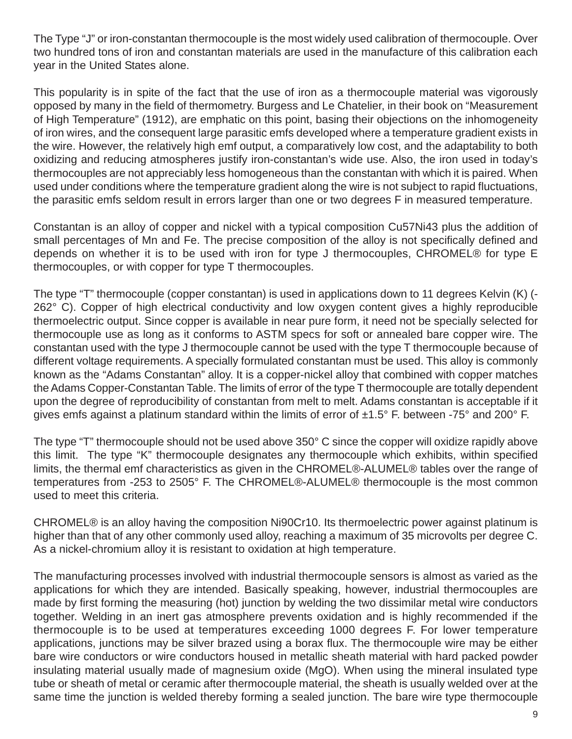The Type "J" or iron-constantan thermocouple is the most widely used calibration of thermocouple. Over two hundred tons of iron and constantan materials are used in the manufacture of this calibration each year in the United States alone.

This popularity is in spite of the fact that the use of iron as a thermocouple material was vigorously opposed by many in the field of thermometry. Burgess and Le Chatelier, in their book on "Measurement of High Temperature" (1912), are emphatic on this point, basing their objections on the inhomogeneity of iron wires, and the consequent large parasitic emfs developed where a temperature gradient exists in the wire. However, the relatively high emf output, a comparatively low cost, and the adaptability to both oxidizing and reducing atmospheres justify iron-constantan's wide use. Also, the iron used in today's thermocouples are not appreciably less homogeneous than the constantan with which it is paired. When used under conditions where the temperature gradient along the wire is not subject to rapid fluctuations, the parasitic emfs seldom result in errors larger than one or two degrees F in measured temperature.

Constantan is an alloy of copper and nickel with a typical composition Cu57Ni43 plus the addition of small percentages of Mn and Fe. The precise composition of the alloy is not specifically defined and depends on whether it is to be used with iron for type J thermocouples, CHROMEL® for type E thermocouples, or with copper for type T thermocouples.

The type "T" thermocouple (copper constantan) is used in applications down to 11 degrees Kelvin (K) (- 262° C). Copper of high electrical conductivity and low oxygen content gives a highly reproducible thermoelectric output. Since copper is available in near pure form, it need not be specially selected for thermocouple use as long as it conforms to ASTM specs for soft or annealed bare copper wire. The constantan used with the type J thermocouple cannot be used with the type T thermocouple because of different voltage requirements. A specially formulated constantan must be used. This alloy is commonly known as the "Adams Constantan" alloy. It is a copper-nickel alloy that combined with copper matches the Adams Copper-Constantan Table. The limits of error of the type T thermocouple are totally dependent upon the degree of reproducibility of constantan from melt to melt. Adams constantan is acceptable if it gives emfs against a platinum standard within the limits of error of  $\pm 1.5^{\circ}$  F. between -75° and 200° F.

The type "T" thermocouple should not be used above 350° C since the copper will oxidize rapidly above this limit. The type "K" thermocouple designates any thermocouple which exhibits, within specified limits, the thermal emf characteristics as given in the CHROMEL®-ALUMEL® tables over the range of temperatures from -253 to 2505° F. The CHROMEL®-ALUMEL® thermocouple is the most common used to meet this criteria.

CHROMEL® is an alloy having the composition Ni90Cr10. Its thermoelectric power against platinum is higher than that of any other commonly used alloy, reaching a maximum of 35 microvolts per degree C. As a nickel-chromium alloy it is resistant to oxidation at high temperature.

The manufacturing processes involved with industrial thermocouple sensors is almost as varied as the applications for which they are intended. Basically speaking, however, industrial thermocouples are made by first forming the measuring (hot) junction by welding the two dissimilar metal wire conductors together. Welding in an inert gas atmosphere prevents oxidation and is highly recommended if the thermocouple is to be used at temperatures exceeding 1000 degrees F. For lower temperature applications, junctions may be silver brazed using a borax flux. The thermocouple wire may be either bare wire conductors or wire conductors housed in metallic sheath material with hard packed powder insulating material usually made of magnesium oxide (MgO). When using the mineral insulated type tube or sheath of metal or ceramic after thermocouple material, the sheath is usually welded over at the same time the junction is welded thereby forming a sealed junction. The bare wire type thermocouple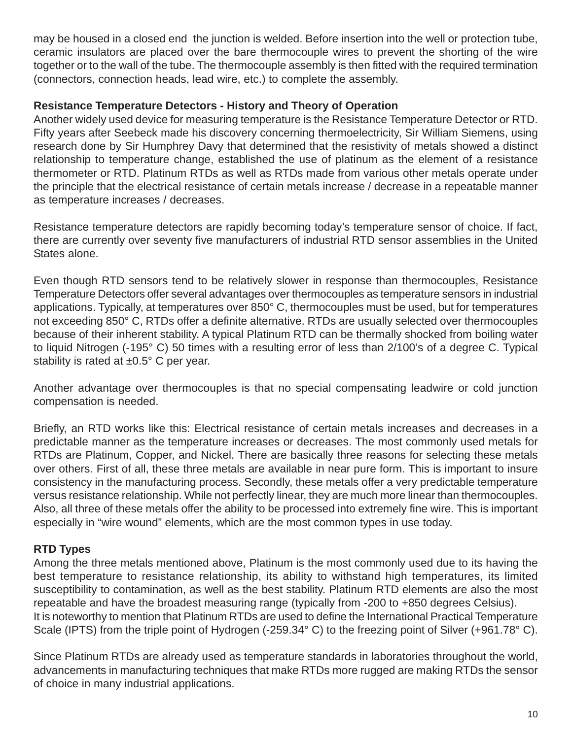may be housed in a closed end the junction is welded. Before insertion into the well or protection tube, ceramic insulators are placed over the bare thermocouple wires to prevent the shorting of the wire together or to the wall of the tube. The thermocouple assembly is then fitted with the required termination (connectors, connection heads, lead wire, etc.) to complete the assembly.

#### **Resistance Temperature Detectors - History and Theory of Operation**

Another widely used device for measuring temperature is the Resistance Temperature Detector or RTD. Fifty years after Seebeck made his discovery concerning thermoelectricity, Sir William Siemens, using research done by Sir Humphrey Davy that determined that the resistivity of metals showed a distinct relationship to temperature change, established the use of platinum as the element of a resistance thermometer or RTD. Platinum RTDs as well as RTDs made from various other metals operate under the principle that the electrical resistance of certain metals increase / decrease in a repeatable manner as temperature increases / decreases.

Resistance temperature detectors are rapidly becoming today's temperature sensor of choice. If fact, there are currently over seventy five manufacturers of industrial RTD sensor assemblies in the United States alone.

Even though RTD sensors tend to be relatively slower in response than thermocouples, Resistance Temperature Detectors offer several advantages over thermocouples as temperature sensors in industrial applications. Typically, at temperatures over 850° C, thermocouples must be used, but for temperatures not exceeding 850° C, RTDs offer a definite alternative. RTDs are usually selected over thermocouples because of their inherent stability. A typical Platinum RTD can be thermally shocked from boiling water to liquid Nitrogen (-195° C) 50 times with a resulting error of less than 2/100's of a degree C. Typical stability is rated at  $\pm 0.5^{\circ}$  C per year.

Another advantage over thermocouples is that no special compensating leadwire or cold junction compensation is needed.

Briefly, an RTD works like this: Electrical resistance of certain metals increases and decreases in a predictable manner as the temperature increases or decreases. The most commonly used metals for RTDs are Platinum, Copper, and Nickel. There are basically three reasons for selecting these metals over others. First of all, these three metals are available in near pure form. This is important to insure consistency in the manufacturing process. Secondly, these metals offer a very predictable temperature versus resistance relationship. While not perfectly linear, they are much more linear than thermocouples. Also, all three of these metals offer the ability to be processed into extremely fine wire. This is important especially in "wire wound" elements, which are the most common types in use today.

#### **RTD Types**

Among the three metals mentioned above, Platinum is the most commonly used due to its having the best temperature to resistance relationship, its ability to withstand high temperatures, its limited susceptibility to contamination, as well as the best stability. Platinum RTD elements are also the most repeatable and have the broadest measuring range (typically from -200 to +850 degrees Celsius). It is noteworthy to mention that Platinum RTDs are used to define the International Practical Temperature Scale (IPTS) from the triple point of Hydrogen (-259.34° C) to the freezing point of Silver (+961.78° C).

Since Platinum RTDs are already used as temperature standards in laboratories throughout the world, advancements in manufacturing techniques that make RTDs more rugged are making RTDs the sensor of choice in many industrial applications.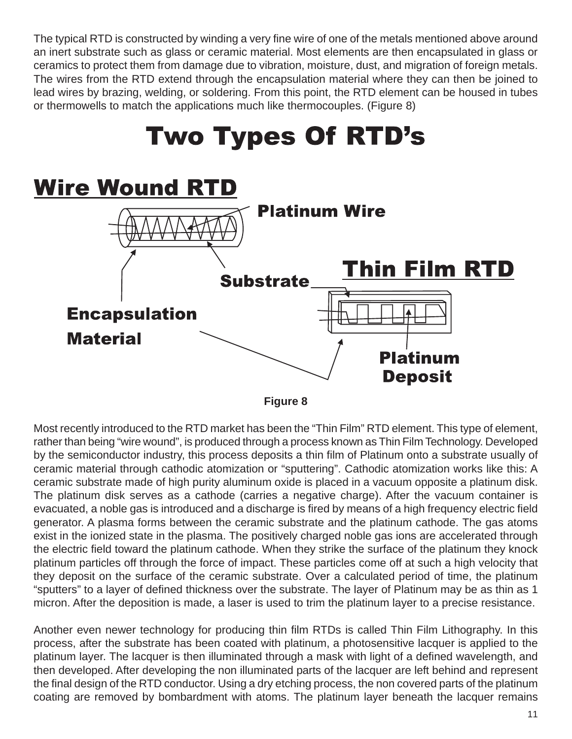The typical RTD is constructed by winding a very fine wire of one of the metals mentioned above around an inert substrate such as glass or ceramic material. Most elements are then encapsulated in glass or ceramics to protect them from damage due to vibration, moisture, dust, and migration of foreign metals. The wires from the RTD extend through the encapsulation material where they can then be joined to lead wires by brazing, welding, or soldering. From this point, the RTD element can be housed in tubes or thermowells to match the applications much like thermocouples. (Figure 8)



**Figure 8**

Most recently introduced to the RTD market has been the "Thin Film" RTD element. This type of element, rather than being "wire wound", is produced through a process known as Thin Film Technology. Developed by the semiconductor industry, this process deposits a thin film of Platinum onto a substrate usually of ceramic material through cathodic atomization or "sputtering". Cathodic atomization works like this: A ceramic substrate made of high purity aluminum oxide is placed in a vacuum opposite a platinum disk. The platinum disk serves as a cathode (carries a negative charge). After the vacuum container is evacuated, a noble gas is introduced and a discharge is fired by means of a high frequency electric field generator. A plasma forms between the ceramic substrate and the platinum cathode. The gas atoms exist in the ionized state in the plasma. The positively charged noble gas ions are accelerated through the electric field toward the platinum cathode. When they strike the surface of the platinum they knock platinum particles off through the force of impact. These particles come off at such a high velocity that they deposit on the surface of the ceramic substrate. Over a calculated period of time, the platinum "sputters" to a layer of defined thickness over the substrate. The layer of Platinum may be as thin as 1 micron. After the deposition is made, a laser is used to trim the platinum layer to a precise resistance.

Another even newer technology for producing thin film RTDs is called Thin Film Lithography. In this process, after the substrate has been coated with platinum, a photosensitive lacquer is applied to the platinum layer. The lacquer is then illuminated through a mask with light of a defined wavelength, and then developed. After developing the non illuminated parts of the lacquer are left behind and represent the final design of the RTD conductor. Using a dry etching process, the non covered parts of the platinum coating are removed by bombardment with atoms. The platinum layer beneath the lacquer remains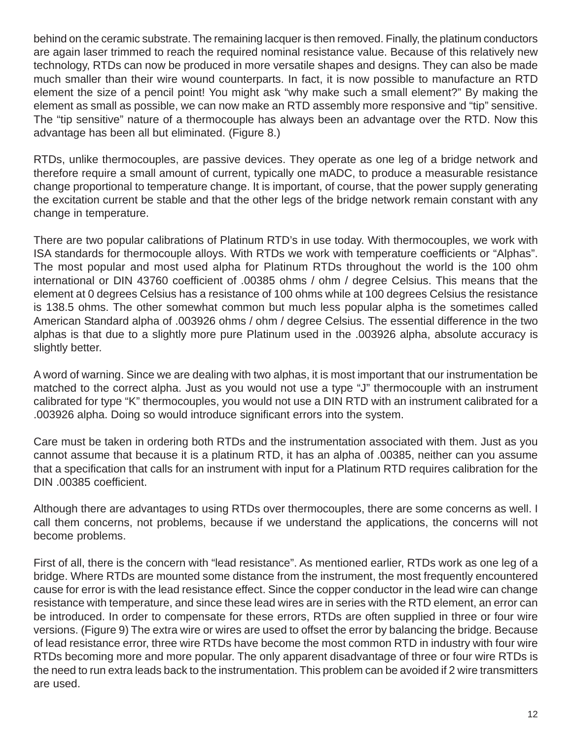behind on the ceramic substrate. The remaining lacquer is then removed. Finally, the platinum conductors are again laser trimmed to reach the required nominal resistance value. Because of this relatively new technology, RTDs can now be produced in more versatile shapes and designs. They can also be made much smaller than their wire wound counterparts. In fact, it is now possible to manufacture an RTD element the size of a pencil point! You might ask "why make such a small element?" By making the element as small as possible, we can now make an RTD assembly more responsive and "tip" sensitive. The "tip sensitive" nature of a thermocouple has always been an advantage over the RTD. Now this advantage has been all but eliminated. (Figure 8.)

RTDs, unlike thermocouples, are passive devices. They operate as one leg of a bridge network and therefore require a small amount of current, typically one mADC, to produce a measurable resistance change proportional to temperature change. It is important, of course, that the power supply generating the excitation current be stable and that the other legs of the bridge network remain constant with any change in temperature.

There are two popular calibrations of Platinum RTD's in use today. With thermocouples, we work with ISA standards for thermocouple alloys. With RTDs we work with temperature coefficients or "Alphas". The most popular and most used alpha for Platinum RTDs throughout the world is the 100 ohm international or DIN 43760 coefficient of .00385 ohms / ohm / degree Celsius. This means that the element at 0 degrees Celsius has a resistance of 100 ohms while at 100 degrees Celsius the resistance is 138.5 ohms. The other somewhat common but much less popular alpha is the sometimes called American Standard alpha of .003926 ohms / ohm / degree Celsius. The essential difference in the two alphas is that due to a slightly more pure Platinum used in the .003926 alpha, absolute accuracy is slightly better.

A word of warning. Since we are dealing with two alphas, it is most important that our instrumentation be matched to the correct alpha. Just as you would not use a type "J" thermocouple with an instrument calibrated for type "K" thermocouples, you would not use a DIN RTD with an instrument calibrated for a .003926 alpha. Doing so would introduce significant errors into the system.

Care must be taken in ordering both RTDs and the instrumentation associated with them. Just as you cannot assume that because it is a platinum RTD, it has an alpha of .00385, neither can you assume that a specification that calls for an instrument with input for a Platinum RTD requires calibration for the DIN .00385 coefficient.

Although there are advantages to using RTDs over thermocouples, there are some concerns as well. I call them concerns, not problems, because if we understand the applications, the concerns will not become problems.

First of all, there is the concern with "lead resistance". As mentioned earlier, RTDs work as one leg of a bridge. Where RTDs are mounted some distance from the instrument, the most frequently encountered cause for error is with the lead resistance effect. Since the copper conductor in the lead wire can change resistance with temperature, and since these lead wires are in series with the RTD element, an error can be introduced. In order to compensate for these errors, RTDs are often supplied in three or four wire versions. (Figure 9) The extra wire or wires are used to offset the error by balancing the bridge. Because of lead resistance error, three wire RTDs have become the most common RTD in industry with four wire RTDs becoming more and more popular. The only apparent disadvantage of three or four wire RTDs is the need to run extra leads back to the instrumentation. This problem can be avoided if 2 wire transmitters are used.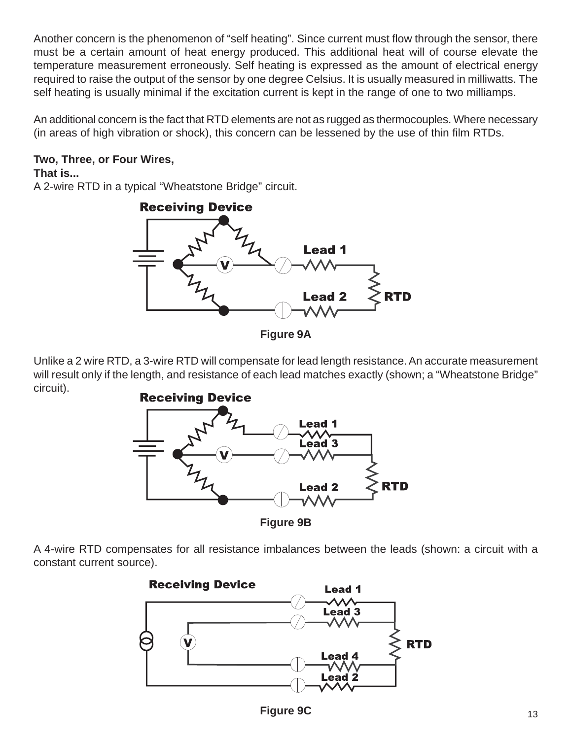Another concern is the phenomenon of "self heating". Since current must flow through the sensor, there must be a certain amount of heat energy produced. This additional heat will of course elevate the temperature measurement erroneously. Self heating is expressed as the amount of electrical energy required to raise the output of the sensor by one degree Celsius. It is usually measured in milliwatts. The self heating is usually minimal if the excitation current is kept in the range of one to two milliamps.

An additional concern is the fact that RTD elements are not as rugged as thermocouples. Where necessary (in areas of high vibration or shock), this concern can be lessened by the use of thin film RTDs.

### **Two, Three, or Four Wires,**

#### **That is...**

A 2-wire RTD in a typical "Wheatstone Bridge" circuit.



**Figure 9A**

Unlike a 2 wire RTD, a 3-wire RTD will compensate for lead length resistance. An accurate measurement will result only if the length, and resistance of each lead matches exactly (shown; a "Wheatstone Bridge" circuit).



**Figure 9B**

A 4-wire RTD compensates for all resistance imbalances between the leads (shown: a circuit with a constant current source).

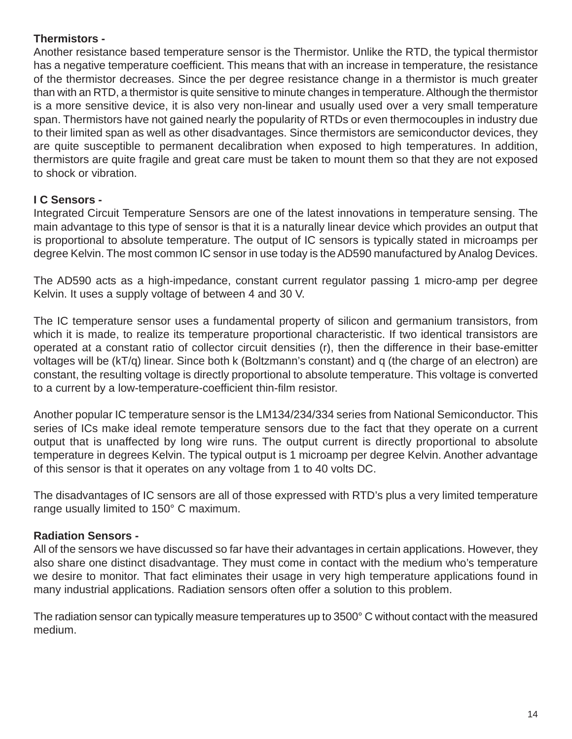#### **Thermistors -**

Another resistance based temperature sensor is the Thermistor. Unlike the RTD, the typical thermistor has a negative temperature coefficient. This means that with an increase in temperature, the resistance of the thermistor decreases. Since the per degree resistance change in a thermistor is much greater than with an RTD, a thermistor is quite sensitive to minute changes in temperature. Although the thermistor is a more sensitive device, it is also very non-linear and usually used over a very small temperature span. Thermistors have not gained nearly the popularity of RTDs or even thermocouples in industry due to their limited span as well as other disadvantages. Since thermistors are semiconductor devices, they are quite susceptible to permanent decalibration when exposed to high temperatures. In addition, thermistors are quite fragile and great care must be taken to mount them so that they are not exposed to shock or vibration.

#### **I C Sensors -**

Integrated Circuit Temperature Sensors are one of the latest innovations in temperature sensing. The main advantage to this type of sensor is that it is a naturally linear device which provides an output that is proportional to absolute temperature. The output of IC sensors is typically stated in microamps per degree Kelvin. The most common IC sensor in use today is the AD590 manufactured by Analog Devices.

The AD590 acts as a high-impedance, constant current regulator passing 1 micro-amp per degree Kelvin. It uses a supply voltage of between 4 and 30 V.

The IC temperature sensor uses a fundamental property of silicon and germanium transistors, from which it is made, to realize its temperature proportional characteristic. If two identical transistors are operated at a constant ratio of collector circuit densities (r), then the difference in their base-emitter voltages will be (kT/q) linear. Since both k (Boltzmann's constant) and q (the charge of an electron) are constant, the resulting voltage is directly proportional to absolute temperature. This voltage is converted to a current by a low-temperature-coefficient thin-film resistor.

Another popular IC temperature sensor is the LM134/234/334 series from National Semiconductor. This series of ICs make ideal remote temperature sensors due to the fact that they operate on a current output that is unaffected by long wire runs. The output current is directly proportional to absolute temperature in degrees Kelvin. The typical output is 1 microamp per degree Kelvin. Another advantage of this sensor is that it operates on any voltage from 1 to 40 volts DC.

The disadvantages of IC sensors are all of those expressed with RTD's plus a very limited temperature range usually limited to 150° C maximum.

#### **Radiation Sensors -**

All of the sensors we have discussed so far have their advantages in certain applications. However, they also share one distinct disadvantage. They must come in contact with the medium who's temperature we desire to monitor. That fact eliminates their usage in very high temperature applications found in many industrial applications. Radiation sensors often offer a solution to this problem.

The radiation sensor can typically measure temperatures up to 3500° C without contact with the measured medium.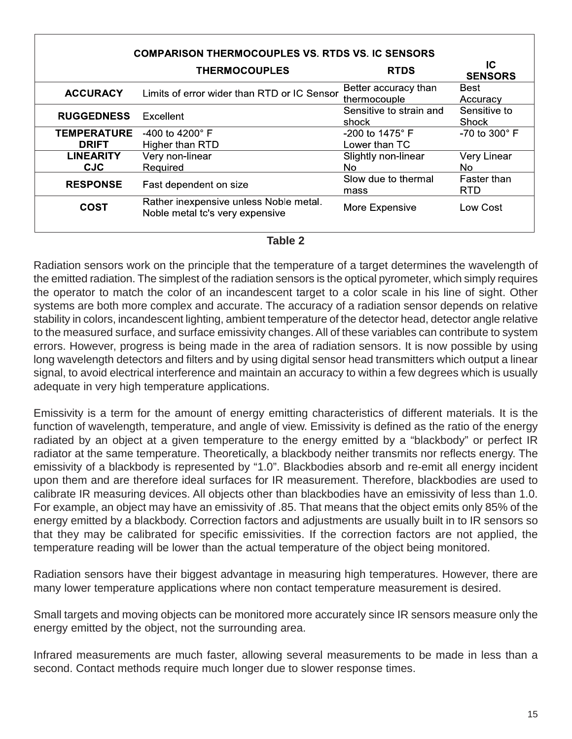| <b>COMPARISON THERMOCOUPLES VS. RTDS VS. IC SENSORS</b> |                                                                           |                                      |                           |  |  |
|---------------------------------------------------------|---------------------------------------------------------------------------|--------------------------------------|---------------------------|--|--|
|                                                         | <b>THERMOCOUPLES</b>                                                      | <b>RTDS</b>                          | IC<br><b>SENSORS</b>      |  |  |
| <b>ACCURACY</b>                                         | Limits of error wider than RTD or IC Sensor                               | Better accuracy than<br>thermocouple | Best<br>Accuracy          |  |  |
| <b>RUGGEDNESS</b>                                       | Excellent                                                                 | Sensitive to strain and<br>shock     | Sensitive to<br>Shock     |  |  |
| <b>TEMPERATURE</b><br><b>DRIFT</b>                      | -400 to 4200 $^{\circ}$ F<br>Higher than RTD                              | $-200$ to 1475° F<br>Lower than TC   | -70 to 300 $^{\circ}$ F   |  |  |
| <b>LINEARITY</b><br><b>CJC</b>                          | Very non-linear<br>Required                                               | Slightly non-linear<br>No.           | Very Linear<br>No.        |  |  |
| <b>RESPONSE</b>                                         | Fast dependent on size                                                    | Slow due to thermal<br>mass          | Faster than<br><b>RTD</b> |  |  |
| <b>COST</b>                                             | Rather inexpensive unless Noble metal.<br>Noble metal tc's very expensive | More Expensive                       | Low Cost                  |  |  |

| ÷<br>× |  |
|--------|--|
|--------|--|

Radiation sensors work on the principle that the temperature of a target determines the wavelength of the emitted radiation. The simplest of the radiation sensors is the optical pyrometer, which simply requires the operator to match the color of an incandescent target to a color scale in his line of sight. Other systems are both more complex and accurate. The accuracy of a radiation sensor depends on relative stability in colors, incandescent lighting, ambient temperature of the detector head, detector angle relative to the measured surface, and surface emissivity changes. All of these variables can contribute to system errors. However, progress is being made in the area of radiation sensors. It is now possible by using long wavelength detectors and filters and by using digital sensor head transmitters which output a linear signal, to avoid electrical interference and maintain an accuracy to within a few degrees which is usually adequate in very high temperature applications.

Emissivity is a term for the amount of energy emitting characteristics of different materials. It is the function of wavelength, temperature, and angle of view. Emissivity is defined as the ratio of the energy radiated by an object at a given temperature to the energy emitted by a "blackbody" or perfect IR radiator at the same temperature. Theoretically, a blackbody neither transmits nor reflects energy. The emissivity of a blackbody is represented by "1.0". Blackbodies absorb and re-emit all energy incident upon them and are therefore ideal surfaces for IR measurement. Therefore, blackbodies are used to calibrate IR measuring devices. All objects other than blackbodies have an emissivity of less than 1.0. For example, an object may have an emissivity of .85. That means that the object emits only 85% of the energy emitted by a blackbody. Correction factors and adjustments are usually built in to IR sensors so that they may be calibrated for specific emissivities. If the correction factors are not applied, the temperature reading will be lower than the actual temperature of the object being monitored.

Radiation sensors have their biggest advantage in measuring high temperatures. However, there are many lower temperature applications where non contact temperature measurement is desired.

Small targets and moving objects can be monitored more accurately since IR sensors measure only the energy emitted by the object, not the surrounding area.

Infrared measurements are much faster, allowing several measurements to be made in less than a second. Contact methods require much longer due to slower response times.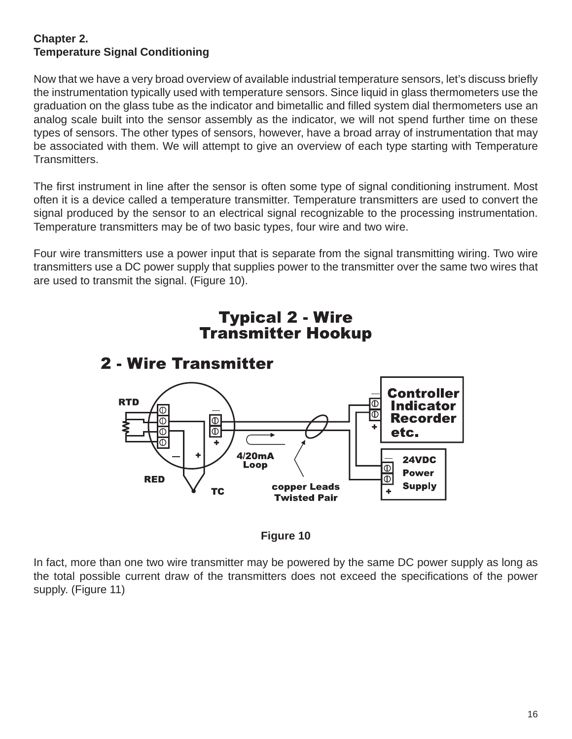#### **Chapter 2. Temperature Signal Conditioning**

Now that we have a very broad overview of available industrial temperature sensors, let's discuss briefly the instrumentation typically used with temperature sensors. Since liquid in glass thermometers use the graduation on the glass tube as the indicator and bimetallic and filled system dial thermometers use an analog scale built into the sensor assembly as the indicator, we will not spend further time on these types of sensors. The other types of sensors, however, have a broad array of instrumentation that may be associated with them. We will attempt to give an overview of each type starting with Temperature Transmitters.

The first instrument in line after the sensor is often some type of signal conditioning instrument. Most often it is a device called a temperature transmitter. Temperature transmitters are used to convert the signal produced by the sensor to an electrical signal recognizable to the processing instrumentation. Temperature transmitters may be of two basic types, four wire and two wire.

Four wire transmitters use a power input that is separate from the signal transmitting wiring. Two wire transmitters use a DC power supply that supplies power to the transmitter over the same two wires that are used to transmit the signal. (Figure 10).



# **Typical 2 - Wire**



In fact, more than one two wire transmitter may be powered by the same DC power supply as long as the total possible current draw of the transmitters does not exceed the specifications of the power supply. (Figure 11)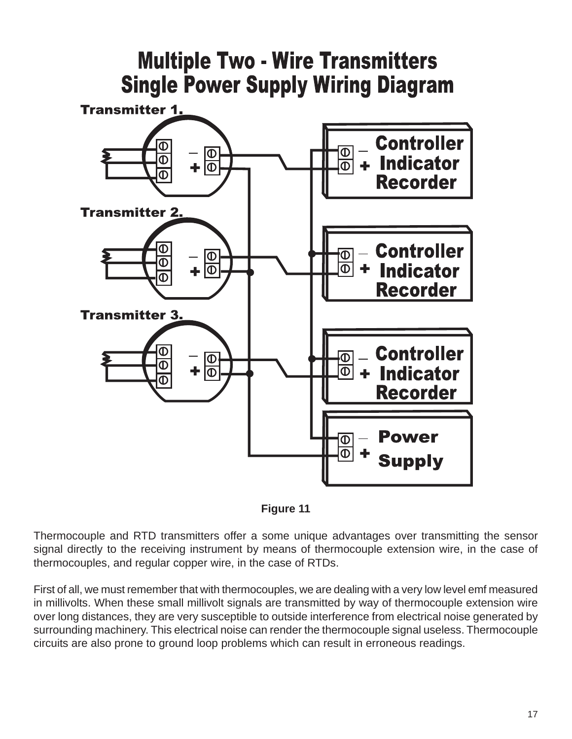



Thermocouple and RTD transmitters offer a some unique advantages over transmitting the sensor signal directly to the receiving instrument by means of thermocouple extension wire, in the case of thermocouples, and regular copper wire, in the case of RTDs.

First of all, we must remember that with thermocouples, we are dealing with a very low level emf measured in millivolts. When these small millivolt signals are transmitted by way of thermocouple extension wire over long distances, they are very susceptible to outside interference from electrical noise generated by surrounding machinery. This electrical noise can render the thermocouple signal useless. Thermocouple circuits are also prone to ground loop problems which can result in erroneous readings.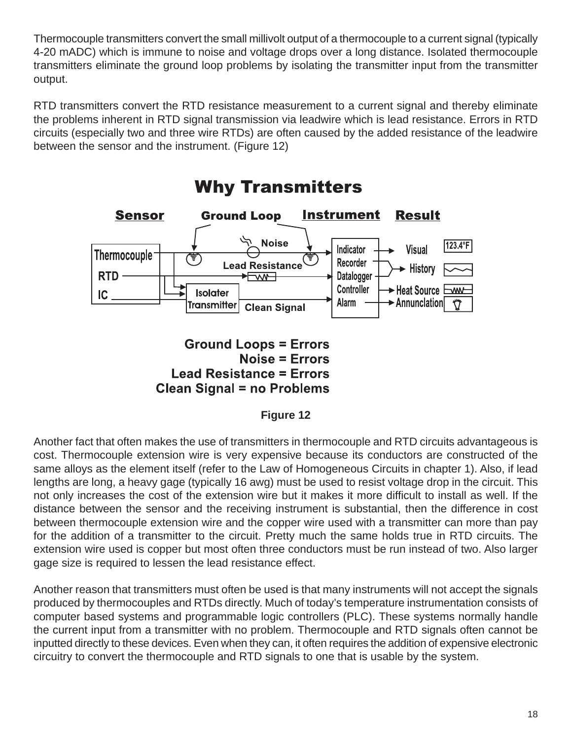Thermocouple transmitters convert the small millivolt output of a thermocouple to a current signal (typically 4-20 mADC) which is immune to noise and voltage drops over a long distance. Isolated thermocouple transmitters eliminate the ground loop problems by isolating the transmitter input from the transmitter output.

RTD transmitters convert the RTD resistance measurement to a current signal and thereby eliminate the problems inherent in RTD signal transmission via leadwire which is lead resistance. Errors in RTD circuits (especially two and three wire RTDs) are often caused by the added resistance of the leadwire between the sensor and the instrument. (Figure 12)



Another fact that often makes the use of transmitters in thermocouple and RTD circuits advantageous is cost. Thermocouple extension wire is very expensive because its conductors are constructed of the same alloys as the element itself (refer to the Law of Homogeneous Circuits in chapter 1). Also, if lead lengths are long, a heavy gage (typically 16 awg) must be used to resist voltage drop in the circuit. This not only increases the cost of the extension wire but it makes it more difficult to install as well. If the distance between the sensor and the receiving instrument is substantial, then the difference in cost between thermocouple extension wire and the copper wire used with a transmitter can more than pay for the addition of a transmitter to the circuit. Pretty much the same holds true in RTD circuits. The extension wire used is copper but most often three conductors must be run instead of two. Also larger gage size is required to lessen the lead resistance effect.

Another reason that transmitters must often be used is that many instruments will not accept the signals produced by thermocouples and RTDs directly. Much of today's temperature instrumentation consists of computer based systems and programmable logic controllers (PLC). These systems normally handle the current input from a transmitter with no problem. Thermocouple and RTD signals often cannot be inputted directly to these devices. Even when they can, it often requires the addition of expensive electronic circuitry to convert the thermocouple and RTD signals to one that is usable by the system.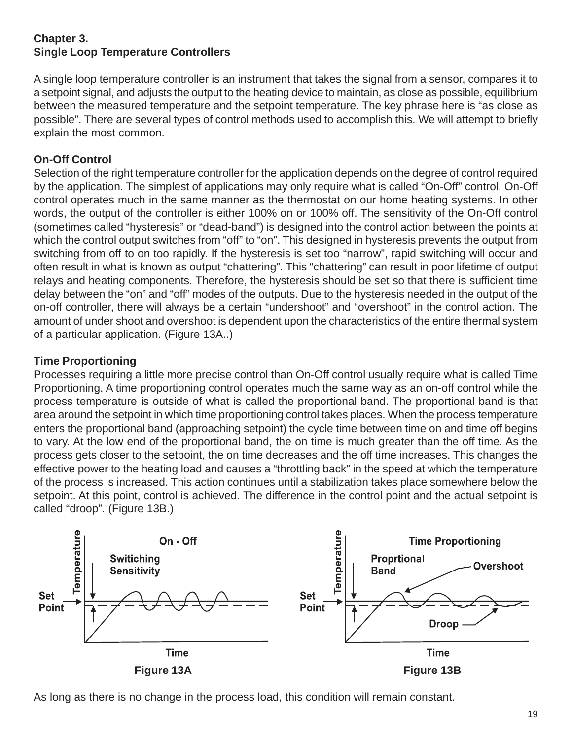#### **Chapter 3. Single Loop Temperature Controllers**

A single loop temperature controller is an instrument that takes the signal from a sensor, compares it to a setpoint signal, and adjusts the output to the heating device to maintain, as close as possible, equilibrium between the measured temperature and the setpoint temperature. The key phrase here is "as close as possible". There are several types of control methods used to accomplish this. We will attempt to briefly explain the most common.

#### **On-Off Control**

Selection of the right temperature controller for the application depends on the degree of control required by the application. The simplest of applications may only require what is called "On-Off" control. On-Off control operates much in the same manner as the thermostat on our home heating systems. In other words, the output of the controller is either 100% on or 100% off. The sensitivity of the On-Off control (sometimes called "hysteresis" or "dead-band") is designed into the control action between the points at which the control output switches from "off" to "on". This designed in hysteresis prevents the output from switching from off to on too rapidly. If the hysteresis is set too "narrow", rapid switching will occur and often result in what is known as output "chattering". This "chattering" can result in poor lifetime of output relays and heating components. Therefore, the hysteresis should be set so that there is sufficient time delay between the "on" and "off" modes of the outputs. Due to the hysteresis needed in the output of the on-off controller, there will always be a certain "undershoot" and "overshoot" in the control action. The amount of under shoot and overshoot is dependent upon the characteristics of the entire thermal system of a particular application. (Figure 13A..)

#### **Time Proportioning**

Processes requiring a little more precise control than On-Off control usually require what is called Time Proportioning. A time proportioning control operates much the same way as an on-off control while the process temperature is outside of what is called the proportional band. The proportional band is that area around the setpoint in which time proportioning control takes places. When the process temperature enters the proportional band (approaching setpoint) the cycle time between time on and time off begins to vary. At the low end of the proportional band, the on time is much greater than the off time. As the process gets closer to the setpoint, the on time decreases and the off time increases. This changes the effective power to the heating load and causes a "throttling back" in the speed at which the temperature of the process is increased. This action continues until a stabilization takes place somewhere below the setpoint. At this point, control is achieved. The difference in the control point and the actual setpoint is called "droop". (Figure 13B.)



As long as there is no change in the process load, this condition will remain constant.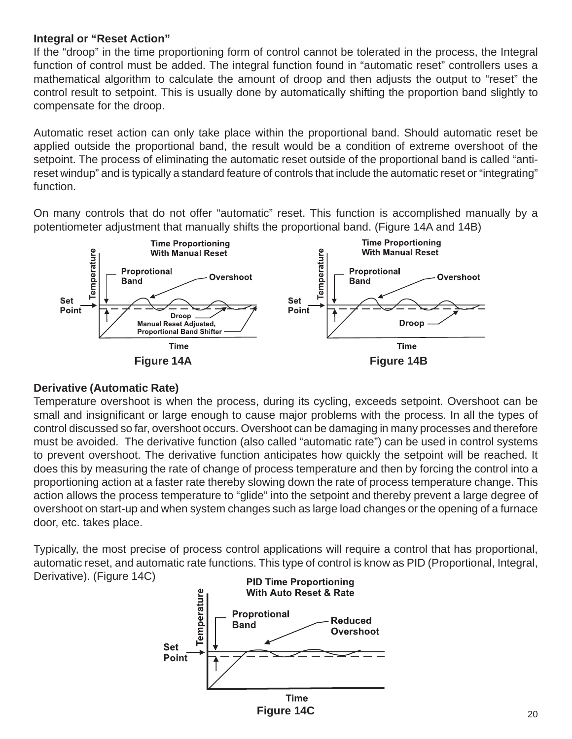#### **Integral or "Reset Action"**

If the "droop" in the time proportioning form of control cannot be tolerated in the process, the Integral function of control must be added. The integral function found in "automatic reset" controllers uses a mathematical algorithm to calculate the amount of droop and then adjusts the output to "reset" the control result to setpoint. This is usually done by automatically shifting the proportion band slightly to compensate for the droop.

Automatic reset action can only take place within the proportional band. Should automatic reset be applied outside the proportional band, the result would be a condition of extreme overshoot of the setpoint. The process of eliminating the automatic reset outside of the proportional band is called "antireset windup" and is typically a standard feature of controls that include the automatic reset or "integrating" function.

On many controls that do not offer "automatic" reset. This function is accomplished manually by a potentiometer adjustment that manually shifts the proportional band. (Figure 14A and 14B)



#### **Derivative (Automatic Rate)**

Temperature overshoot is when the process, during its cycling, exceeds setpoint. Overshoot can be small and insignificant or large enough to cause major problems with the process. In all the types of control discussed so far, overshoot occurs. Overshoot can be damaging in many processes and therefore must be avoided. The derivative function (also called "automatic rate") can be used in control systems to prevent overshoot. The derivative function anticipates how quickly the setpoint will be reached. It does this by measuring the rate of change of process temperature and then by forcing the control into a proportioning action at a faster rate thereby slowing down the rate of process temperature change. This action allows the process temperature to "glide" into the setpoint and thereby prevent a large degree of overshoot on start-up and when system changes such as large load changes or the opening of a furnace door, etc. takes place.

Typically, the most precise of process control applications will require a control that has proportional, automatic reset, and automatic rate functions. This type of control is know as PID (Proportional, Integral, Derivative). (Figure 14C)

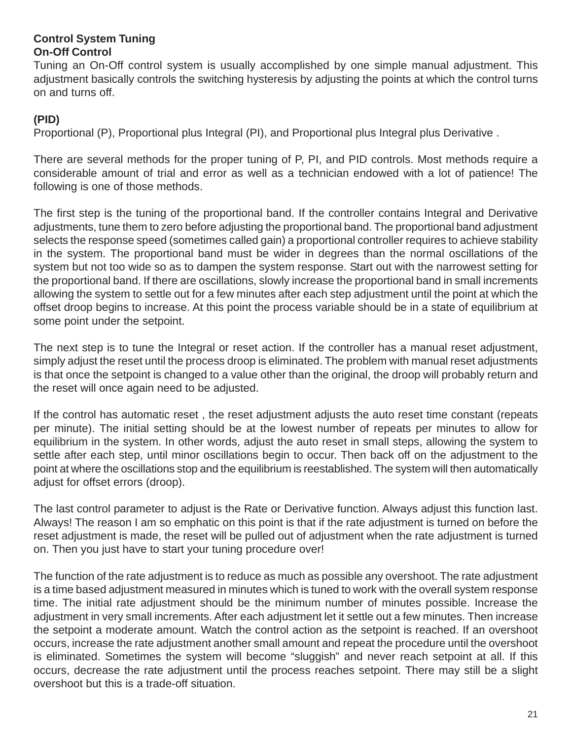#### **Control System Tuning On-Off Control**

Tuning an On-Off control system is usually accomplished by one simple manual adjustment. This adjustment basically controls the switching hysteresis by adjusting the points at which the control turns on and turns off.

#### **(PID)**

Proportional (P), Proportional plus Integral (PI), and Proportional plus Integral plus Derivative .

There are several methods for the proper tuning of P, PI, and PID controls. Most methods require a considerable amount of trial and error as well as a technician endowed with a lot of patience! The following is one of those methods.

The first step is the tuning of the proportional band. If the controller contains Integral and Derivative adjustments, tune them to zero before adjusting the proportional band. The proportional band adjustment selects the response speed (sometimes called gain) a proportional controller requires to achieve stability in the system. The proportional band must be wider in degrees than the normal oscillations of the system but not too wide so as to dampen the system response. Start out with the narrowest setting for the proportional band. If there are oscillations, slowly increase the proportional band in small increments allowing the system to settle out for a few minutes after each step adjustment until the point at which the offset droop begins to increase. At this point the process variable should be in a state of equilibrium at some point under the setpoint.

The next step is to tune the Integral or reset action. If the controller has a manual reset adjustment, simply adjust the reset until the process droop is eliminated. The problem with manual reset adjustments is that once the setpoint is changed to a value other than the original, the droop will probably return and the reset will once again need to be adjusted.

If the control has automatic reset , the reset adjustment adjusts the auto reset time constant (repeats per minute). The initial setting should be at the lowest number of repeats per minutes to allow for equilibrium in the system. In other words, adjust the auto reset in small steps, allowing the system to settle after each step, until minor oscillations begin to occur. Then back off on the adjustment to the point at where the oscillations stop and the equilibrium is reestablished. The system will then automatically adjust for offset errors (droop).

The last control parameter to adjust is the Rate or Derivative function. Always adjust this function last. Always! The reason I am so emphatic on this point is that if the rate adjustment is turned on before the reset adjustment is made, the reset will be pulled out of adjustment when the rate adjustment is turned on. Then you just have to start your tuning procedure over!

The function of the rate adjustment is to reduce as much as possible any overshoot. The rate adjustment is a time based adjustment measured in minutes which is tuned to work with the overall system response time. The initial rate adjustment should be the minimum number of minutes possible. Increase the adjustment in very small increments. After each adjustment let it settle out a few minutes. Then increase the setpoint a moderate amount. Watch the control action as the setpoint is reached. If an overshoot occurs, increase the rate adjustment another small amount and repeat the procedure until the overshoot is eliminated. Sometimes the system will become "sluggish" and never reach setpoint at all. If this occurs, decrease the rate adjustment until the process reaches setpoint. There may still be a slight overshoot but this is a trade-off situation.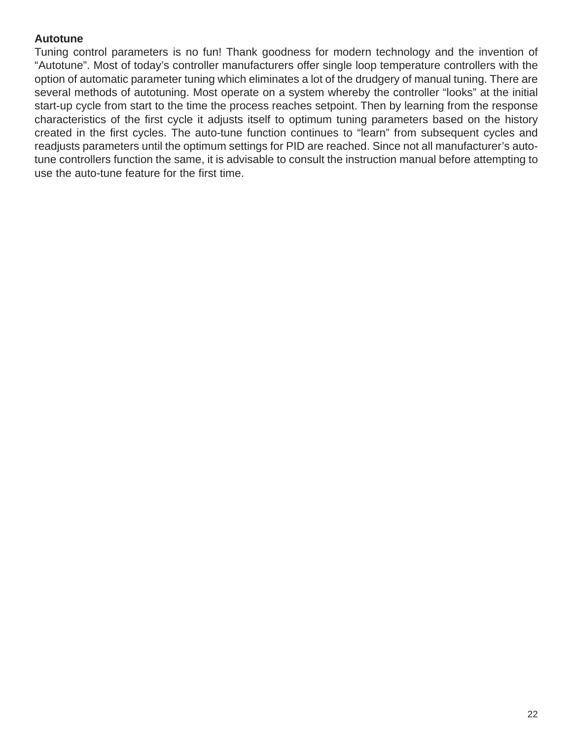#### **Autotune**

Tuning control parameters is no fun! Thank goodness for modern technology and the invention of "Autotune". Most of today's controller manufacturers offer single loop temperature controllers with the option of automatic parameter tuning which eliminates a lot of the drudgery of manual tuning. There are several methods of autotuning. Most operate on a system whereby the controller "looks" at the initial start-up cycle from start to the time the process reaches setpoint. Then by learning from the response characteristics of the first cycle it adjusts itself to optimum tuning parameters based on the history created in the first cycles. The auto-tune function continues to "learn" from subsequent cycles and readjusts parameters until the optimum settings for PID are reached. Since not all manufacturer's autotune controllers function the same, it is advisable to consult the instruction manual before attempting to use the auto-tune feature for the first time.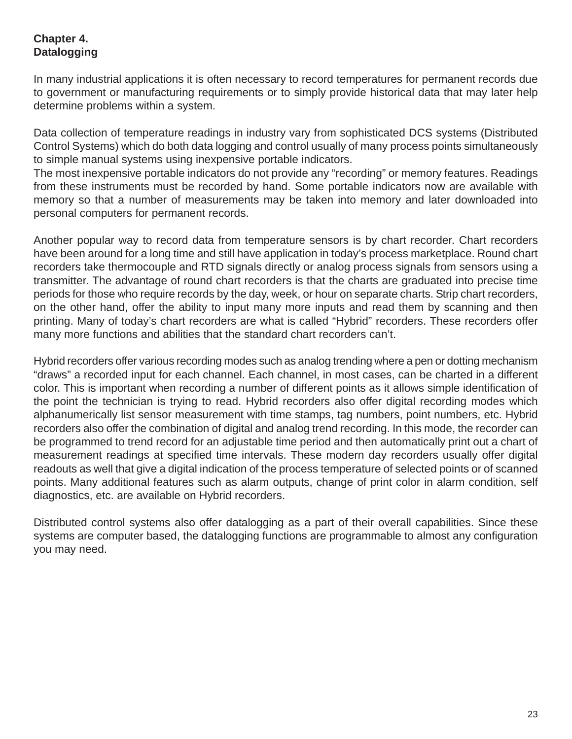#### **Chapter 4. Datalogging**

In many industrial applications it is often necessary to record temperatures for permanent records due to government or manufacturing requirements or to simply provide historical data that may later help determine problems within a system.

Data collection of temperature readings in industry vary from sophisticated DCS systems (Distributed Control Systems) which do both data logging and control usually of many process points simultaneously to simple manual systems using inexpensive portable indicators.

The most inexpensive portable indicators do not provide any "recording" or memory features. Readings from these instruments must be recorded by hand. Some portable indicators now are available with memory so that a number of measurements may be taken into memory and later downloaded into personal computers for permanent records.

Another popular way to record data from temperature sensors is by chart recorder. Chart recorders have been around for a long time and still have application in today's process marketplace. Round chart recorders take thermocouple and RTD signals directly or analog process signals from sensors using a transmitter. The advantage of round chart recorders is that the charts are graduated into precise time periods for those who require records by the day, week, or hour on separate charts. Strip chart recorders, on the other hand, offer the ability to input many more inputs and read them by scanning and then printing. Many of today's chart recorders are what is called "Hybrid" recorders. These recorders offer many more functions and abilities that the standard chart recorders can't.

Hybrid recorders offer various recording modes such as analog trending where a pen or dotting mechanism "draws" a recorded input for each channel. Each channel, in most cases, can be charted in a different color. This is important when recording a number of different points as it allows simple identification of the point the technician is trying to read. Hybrid recorders also offer digital recording modes which alphanumerically list sensor measurement with time stamps, tag numbers, point numbers, etc. Hybrid recorders also offer the combination of digital and analog trend recording. In this mode, the recorder can be programmed to trend record for an adjustable time period and then automatically print out a chart of measurement readings at specified time intervals. These modern day recorders usually offer digital readouts as well that give a digital indication of the process temperature of selected points or of scanned points. Many additional features such as alarm outputs, change of print color in alarm condition, self diagnostics, etc. are available on Hybrid recorders.

Distributed control systems also offer datalogging as a part of their overall capabilities. Since these systems are computer based, the datalogging functions are programmable to almost any configuration you may need.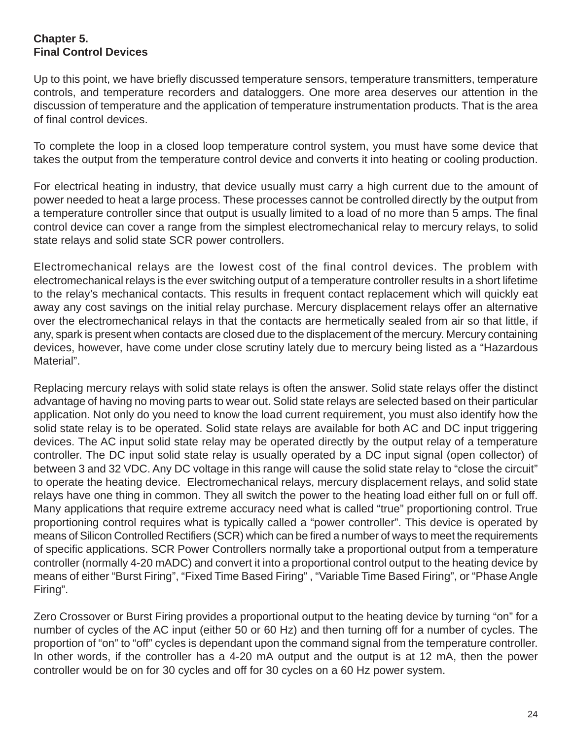#### **Chapter 5. Final Control Devices**

Up to this point, we have briefly discussed temperature sensors, temperature transmitters, temperature controls, and temperature recorders and dataloggers. One more area deserves our attention in the discussion of temperature and the application of temperature instrumentation products. That is the area of final control devices.

To complete the loop in a closed loop temperature control system, you must have some device that takes the output from the temperature control device and converts it into heating or cooling production.

For electrical heating in industry, that device usually must carry a high current due to the amount of power needed to heat a large process. These processes cannot be controlled directly by the output from a temperature controller since that output is usually limited to a load of no more than 5 amps. The final control device can cover a range from the simplest electromechanical relay to mercury relays, to solid state relays and solid state SCR power controllers.

Electromechanical relays are the lowest cost of the final control devices. The problem with electromechanical relays is the ever switching output of a temperature controller results in a short lifetime to the relay's mechanical contacts. This results in frequent contact replacement which will quickly eat away any cost savings on the initial relay purchase. Mercury displacement relays offer an alternative over the electromechanical relays in that the contacts are hermetically sealed from air so that little, if any, spark is present when contacts are closed due to the displacement of the mercury. Mercury containing devices, however, have come under close scrutiny lately due to mercury being listed as a "Hazardous Material".

Replacing mercury relays with solid state relays is often the answer. Solid state relays offer the distinct advantage of having no moving parts to wear out. Solid state relays are selected based on their particular application. Not only do you need to know the load current requirement, you must also identify how the solid state relay is to be operated. Solid state relays are available for both AC and DC input triggering devices. The AC input solid state relay may be operated directly by the output relay of a temperature controller. The DC input solid state relay is usually operated by a DC input signal (open collector) of between 3 and 32 VDC. Any DC voltage in this range will cause the solid state relay to "close the circuit" to operate the heating device. Electromechanical relays, mercury displacement relays, and solid state relays have one thing in common. They all switch the power to the heating load either full on or full off. Many applications that require extreme accuracy need what is called "true" proportioning control. True proportioning control requires what is typically called a "power controller". This device is operated by means of Silicon Controlled Rectifiers (SCR) which can be fired a number of ways to meet the requirements of specific applications. SCR Power Controllers normally take a proportional output from a temperature controller (normally 4-20 mADC) and convert it into a proportional control output to the heating device by means of either "Burst Firing", "Fixed Time Based Firing" , "Variable Time Based Firing", or "Phase Angle Firing".

Zero Crossover or Burst Firing provides a proportional output to the heating device by turning "on" for a number of cycles of the AC input (either 50 or 60 Hz) and then turning off for a number of cycles. The proportion of "on" to "off" cycles is dependant upon the command signal from the temperature controller. In other words, if the controller has a 4-20 mA output and the output is at 12 mA, then the power controller would be on for 30 cycles and off for 30 cycles on a 60 Hz power system.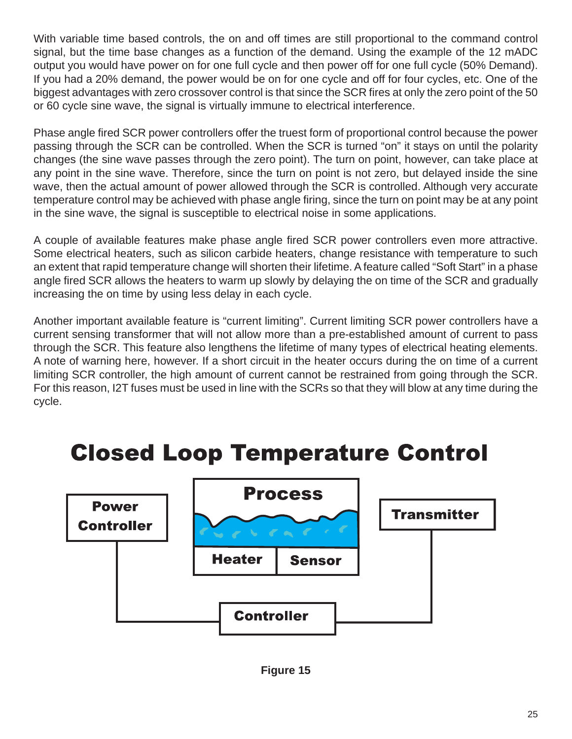With variable time based controls, the on and off times are still proportional to the command control signal, but the time base changes as a function of the demand. Using the example of the 12 mADC output you would have power on for one full cycle and then power off for one full cycle (50% Demand). If you had a 20% demand, the power would be on for one cycle and off for four cycles, etc. One of the biggest advantages with zero crossover control is that since the SCR fires at only the zero point of the 50 or 60 cycle sine wave, the signal is virtually immune to electrical interference.

Phase angle fired SCR power controllers offer the truest form of proportional control because the power passing through the SCR can be controlled. When the SCR is turned "on" it stays on until the polarity changes (the sine wave passes through the zero point). The turn on point, however, can take place at any point in the sine wave. Therefore, since the turn on point is not zero, but delayed inside the sine wave, then the actual amount of power allowed through the SCR is controlled. Although very accurate temperature control may be achieved with phase angle firing, since the turn on point may be at any point in the sine wave, the signal is susceptible to electrical noise in some applications.

A couple of available features make phase angle fired SCR power controllers even more attractive. Some electrical heaters, such as silicon carbide heaters, change resistance with temperature to such an extent that rapid temperature change will shorten their lifetime. A feature called "Soft Start" in a phase angle fired SCR allows the heaters to warm up slowly by delaying the on time of the SCR and gradually increasing the on time by using less delay in each cycle.

Another important available feature is "current limiting". Current limiting SCR power controllers have a current sensing transformer that will not allow more than a pre-established amount of current to pass through the SCR. This feature also lengthens the lifetime of many types of electrical heating elements. A note of warning here, however. If a short circuit in the heater occurs during the on time of a current limiting SCR controller, the high amount of current cannot be restrained from going through the SCR. For this reason, I2T fuses must be used in line with the SCRs so that they will blow at any time during the cycle.

## **Closed Loop Temperature Control**